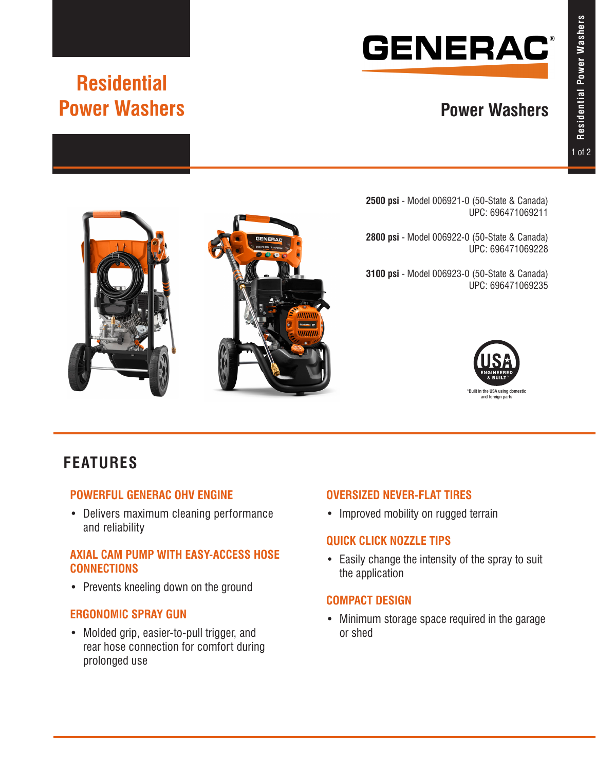# **GENERAC®**

# **Power Washers**

# **Residential Power Washers**

**2500 psi** - Model 006921-0 (50-State & Canada) UPC: 696471069211

**2800 psi** - Model 006922-0 (50-State & Canada) UPC: 696471069228

**3100 psi** - Model 006923-0 (50-State & Canada) UPC: 696471069235





# **FEATURES**

### **POWERFUL GENERAC OHV ENGINE**

• Delivers maximum cleaning performance and reliability

### **AXIAL CAM PUMP WITH EASY-ACCESS HOSE CONNECTIONS**

• Prevents kneeling down on the ground

### **ERGONOMIC SPRAY GUN**

• Molded grip, easier-to-pull trigger, and rear hose connection for comfort during prolonged use

### **OVERSIZED NEVER-FLAT TIRES**

• Improved mobility on rugged terrain

### **QUICK CLICK NOZZLE TIPS**

• Easily change the intensity of the spray to suit the application

### **COMPACT DESIGN**

• Minimum storage space required in the garage or shed